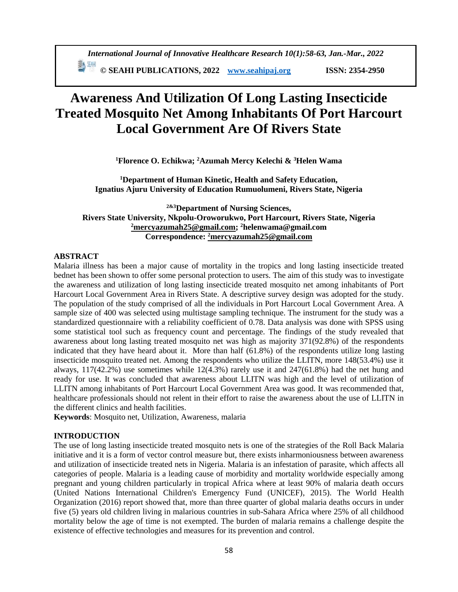# **Awareness And Utilization Of Long Lasting Insecticide Treated Mosquito Net Among Inhabitants Of Port Harcourt Local Government Are Of Rivers State**

**<sup>1</sup>Florence O. Echikwa; <sup>2</sup>Azumah Mercy Kelechi & <sup>3</sup>Helen Wama**

**<sup>1</sup>Department of Human Kinetic, Health and Safety Education, Ignatius Ajuru University of Education Rumuolumeni, Rivers State, Nigeria**

**2&3Department of Nursing Sciences, Rivers State University, Nkpolu-Oroworukwo, Port Harcourt, Rivers State, Nigeria <sup>2</sup>[mercyazumah25@gmail.com;](mailto:2mercyazumah25@gmail.com) <sup>2</sup>helenwama@gmail.com Correspondence: <sup>2</sup>[mercyazumah25@gmail.com](mailto:2mercyazumah25@gmail.com)**

# **ABSTRACT**

Malaria illness has been a major cause of mortality in the tropics and long lasting insecticide treated bednet has been shown to offer some personal protection to users. The aim of this study was to investigate the awareness and utilization of long lasting insecticide treated mosquito net among inhabitants of Port Harcourt Local Government Area in Rivers State. A descriptive survey design was adopted for the study. The population of the study comprised of all the individuals in Port Harcourt Local Government Area. A sample size of 400 was selected using multistage sampling technique. The instrument for the study was a standardized questionnaire with a reliability coefficient of 0.78. Data analysis was done with SPSS using some statistical tool such as frequency count and percentage. The findings of the study revealed that awareness about long lasting treated mosquito net was high as majority 371(92.8%) of the respondents indicated that they have heard about it. More than half (61.8%) of the respondents utilize long lasting insecticide mosquito treated net. Among the respondents who utilize the LLITN, more 148(53.4%) use it always, 117(42.2%) use sometimes while 12(4.3%) rarely use it and 247(61.8%) had the net hung and ready for use. It was concluded that awareness about LLITN was high and the level of utilization of LLITN among inhabitants of Port Harcourt Local Government Area was good. It was recommended that, healthcare professionals should not relent in their effort to raise the awareness about the use of LLITN in the different clinics and health facilities.

**Keywords**: Mosquito net, Utilization, Awareness, malaria

# **INTRODUCTION**

The use of long lasting insecticide treated mosquito nets is one of the strategies of the Roll Back Malaria initiative and it is a form of vector control measure but, there exists inharmoniousness between awareness and utilization of insecticide treated nets in Nigeria. Malaria is an infestation of parasite, which affects all categories of people. Malaria is a leading cause of morbidity and mortality worldwide especially among pregnant and young children particularly in tropical Africa where at least 90% of malaria death occurs (United Nations International Children's Emergency Fund (UNICEF), 2015). The World Health Organization (2016) report showed that, more than three quarter of global malaria deaths occurs in under five (5) years old children living in malarious countries in sub-Sahara Africa where 25% of all childhood mortality below the age of time is not exempted. The burden of malaria remains a challenge despite the existence of effective technologies and measures for its prevention and control.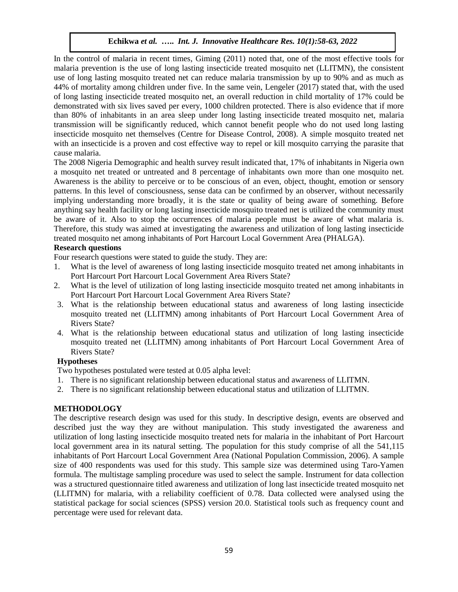In the control of malaria in recent times, Giming (2011) noted that, one of the most effective tools for malaria prevention is the use of long lasting insecticide treated mosquito net (LLITMN), the consistent use of long lasting mosquito treated net can reduce malaria transmission by up to 90% and as much as 44% of mortality among children under five. In the same vein, Lengeler (2017) stated that, with the used of long lasting insecticide treated mosquito net, an overall reduction in child mortality of 17% could be demonstrated with six lives saved per every, 1000 children protected. There is also evidence that if more than 80% of inhabitants in an area sleep under long lasting insecticide treated mosquito net, malaria transmission will be significantly reduced, which cannot benefit people who do not used long lasting insecticide mosquito net themselves (Centre for Disease Control, 2008). A simple mosquito treated net with an insecticide is a proven and cost effective way to repel or kill mosquito carrying the parasite that cause malaria.

The 2008 Nigeria Demographic and health survey result indicated that, 17% of inhabitants in Nigeria own a mosquito net treated or untreated and 8 percentage of inhabitants own more than one mosquito net. Awareness is the ability to perceive or to be conscious of an even, object, thought, emotion or sensory patterns. In this level of consciousness, sense data can be confirmed by an observer, without necessarily implying understanding more broadly, it is the state or quality of being aware of something. Before anything say health facility or long lasting insecticide mosquito treated net is utilized the community must be aware of it. Also to stop the occurrences of malaria people must be aware of what malaria is. Therefore, this study was aimed at investigating the awareness and utilization of long lasting insecticide treated mosquito net among inhabitants of Port Harcourt Local Government Area (PHALGA).

## **Research questions**

Four research questions were stated to guide the study. They are:

- 1. What is the level of awareness of long lasting insecticide mosquito treated net among inhabitants in Port Harcourt Port Harcourt Local Government Area Rivers State?
- 2. What is the level of utilization of long lasting insecticide mosquito treated net among inhabitants in Port Harcourt Port Harcourt Local Government Area Rivers State?
- 3. What is the relationship between educational status and awareness of long lasting insecticide mosquito treated net (LLITMN) among inhabitants of Port Harcourt Local Government Area of Rivers State?
- 4. What is the relationship between educational status and utilization of long lasting insecticide mosquito treated net (LLITMN) among inhabitants of Port Harcourt Local Government Area of Rivers State?

# **Hypotheses**

Two hypotheses postulated were tested at 0.05 alpha level:

- 1. There is no significant relationship between educational status and awareness of LLITMN.
- 2. There is no significant relationship between educational status and utilization of LLITMN.

# **METHODOLOGY**

The descriptive research design was used for this study. In descriptive design, events are observed and described just the way they are without manipulation. This study investigated the awareness and utilization of long lasting insecticide mosquito treated nets for malaria in the inhabitant of Port Harcourt local government area in its natural setting. The population for this study comprise of all the 541,115 inhabitants of Port Harcourt Local Government Area (National Population Commission, 2006). A sample size of 400 respondents was used for this study. This sample size was determined using Taro-Yamen formula. The multistage sampling procedure was used to select the sample. Instrument for data collection was a structured questionnaire titled awareness and utilization of long last insecticide treated mosquito net (LLITMN) for malaria, with a reliability coefficient of 0.78. Data collected were analysed using the statistical package for social sciences (SPSS) version 20.0. Statistical tools such as frequency count and percentage were used for relevant data.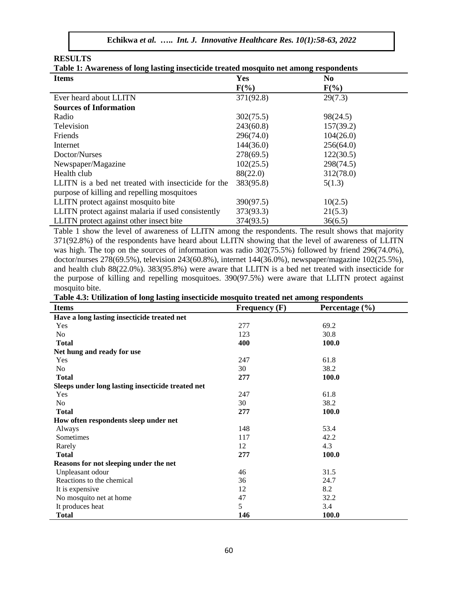**RESULTS**

|  |  |  | Table 1: Awareness of long lasting insecticide treated mosquito net among respondents |
|--|--|--|---------------------------------------------------------------------------------------|
|  |  |  |                                                                                       |

| <b>Items</b>                                        | Yes       | N <sub>0</sub> |  |
|-----------------------------------------------------|-----------|----------------|--|
|                                                     | $F(\%)$   | $F(\%)$        |  |
| Ever heard about LLITN                              | 371(92.8) | 29(7.3)        |  |
| <b>Sources of Information</b>                       |           |                |  |
| Radio                                               | 302(75.5) | 98(24.5)       |  |
| Television                                          | 243(60.8) | 157(39.2)      |  |
| Friends                                             | 296(74.0) | 104(26.0)      |  |
| Internet                                            | 144(36.0) | 256(64.0)      |  |
| Doctor/Nurses                                       | 278(69.5) | 122(30.5)      |  |
| Newspaper/Magazine                                  | 102(25.5) | 298(74.5)      |  |
| Health club                                         | 88(22.0)  | 312(78.0)      |  |
| LLITN is a bed net treated with insecticide for the | 383(95.8) | 5(1.3)         |  |
| purpose of killing and repelling mosquitoes         |           |                |  |
| LLITN protect against mosquito bite                 | 390(97.5) | 10(2.5)        |  |
| LLITN protect against malaria if used consistently  | 373(93.3) | 21(5.3)        |  |
| LLITN protect against other insect bite             | 374(93.5) | 36(6.5)        |  |

Table 1 show the level of awareness of LLITN among the respondents. The result shows that majority 371(92.8%) of the respondents have heard about LLITN showing that the level of awareness of LLITN was high. The top on the sources of information was radio 302(75.5%) followed by friend 296(74.0%), doctor/nurses 278(69.5%), television 243(60.8%), internet 144(36.0%), newspaper/magazine 102(25.5%), and health club 88(22.0%). 383(95.8%) were aware that LLITN is a bed net treated with insecticide for the purpose of killing and repelling mosquitoes. 390(97.5%) were aware that LLITN protect against mosquito bite.

|  |  | Table 4.3: Utilization of long lasting insecticide mosquito treated net among respondents |
|--|--|-------------------------------------------------------------------------------------------|
|  |  |                                                                                           |

| <b>Items</b>                                      | Frequency $(F)$ | Percentage $(\% )$ |
|---------------------------------------------------|-----------------|--------------------|
| Have a long lasting insecticide treated net       |                 |                    |
| Yes                                               | 277             | 69.2               |
| No.                                               | 123             | 30.8               |
| <b>Total</b>                                      | 400             | 100.0              |
| Net hung and ready for use                        |                 |                    |
| Yes                                               | 247             | 61.8               |
| No.                                               | 30              | 38.2               |
| <b>Total</b>                                      | 277             | 100.0              |
| Sleeps under long lasting insecticide treated net |                 |                    |
| Yes                                               | 247             | 61.8               |
| No                                                | 30              | 38.2               |
| <b>Total</b>                                      | 277             | 100.0              |
| How often respondents sleep under net             |                 |                    |
| Always                                            | 148             | 53.4               |
| Sometimes                                         | 117             | 42.2               |
| Rarely                                            | 12              | 4.3                |
| <b>Total</b>                                      | 277             | 100.0              |
| Reasons for not sleeping under the net            |                 |                    |
| Unpleasant odour                                  | 46              | 31.5               |
| Reactions to the chemical                         | 36              | 24.7               |
| It is expensive                                   | 12              | 8.2                |
| No mosquito net at home                           | 47              | 32.2               |
| It produces heat                                  | 5               | 3.4                |
| <b>Total</b>                                      | 146             | 100.0              |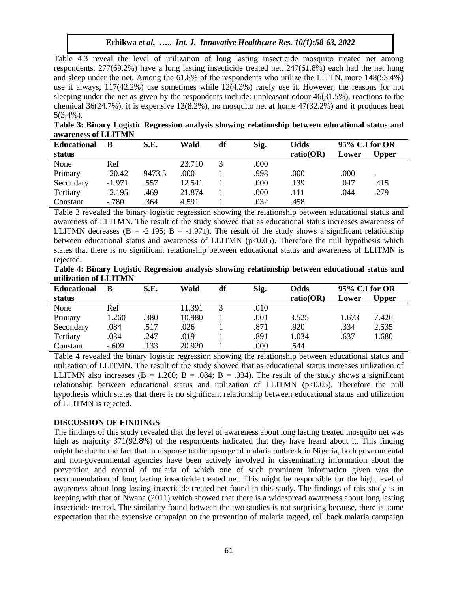Table 4.3 reveal the level of utilization of long lasting insecticide mosquito treated net among respondents. 277(69.2%) have a long lasting insecticide treated net. 247(61.8%) each had the net hung and sleep under the net. Among the 61.8% of the respondents who utilize the LLITN, more 148(53.4%) use it always,  $117(42.2%)$  use sometimes while  $12(4.3%)$  rarely use it. However, the reasons for not sleeping under the net as given by the respondents include: unpleasant odour 46(31.5%), reactions to the chemical  $36(24.7\%)$ , it is expensive  $12(8.2\%)$ , no mosquito net at home  $47(32.2\%)$  and it produces heat 5(3.4%).

**Table 3: Binary Logistic Regression analysis showing relationship between educational status and awareness of LLITMN**

| <b>Educational</b> | B        | S.E.   | Wald   | df | Sig. | <b>Odds</b> | 95% C.I for OR |       |  |
|--------------------|----------|--------|--------|----|------|-------------|----------------|-------|--|
| status             |          |        |        |    |      | ratio(OR)   | Lower          | Upper |  |
| None               | Ref      |        | 23.710 |    | .000 |             |                |       |  |
| Primary            | $-20.42$ | 9473.5 | .000   |    | .998 | .000        | .000           |       |  |
| Secondary          | $-1.971$ | .557   | 12.541 |    | .000 | .139        | .047           | .415  |  |
| Tertiary           | $-2.195$ | .469   | 21.874 |    | .000 | .111        | .044           | .279  |  |
| Constant           | $-780$   | .364   | 4.591  |    | .032 | .458        |                |       |  |

Table 3 revealed the binary logistic regression showing the relationship between educational status and awareness of LLITMN. The result of the study showed that as educational status increases awareness of LLITMN decreases  $(B = -2.195; B = -1.971)$ . The result of the study shows a significant relationship between educational status and awareness of LLITMN ( $p<0.05$ ). Therefore the null hypothesis which states that there is no significant relationship between educational status and awareness of LLITMN is rejected.

| Table 4: Binary Logistic Regression analysis showing relationship between educational status and |  |  |  |  |  |
|--------------------------------------------------------------------------------------------------|--|--|--|--|--|
| utilization of LLITMN                                                                            |  |  |  |  |  |

| <b>Educational</b> | В       | S.E. | Wald   | df | Sig. | Odds      | 95% C.I for OR |       |
|--------------------|---------|------|--------|----|------|-----------|----------------|-------|
| status             |         |      |        |    |      | ratio(OR) | Lower          | Upper |
| None               | Ref     |      | 11.391 |    | .010 |           |                |       |
| Primary            | 1.260   | .380 | 10.980 |    | .001 | 3.525     | 1.673          | 7.426 |
| Secondary          | .084    | .517 | .026   |    | .871 | .920      | .334           | 2.535 |
| Tertiary           | .034    | .247 | .019   |    | .891 | 1.034     | .637           | 1.680 |
| Constant           | $-.609$ | .133 | 20.920 |    | .000 | .544      |                |       |

Table 4 revealed the binary logistic regression showing the relationship between educational status and utilization of LLITMN. The result of the study showed that as educational status increases utilization of LLITMN also increases ( $B = 1.260$ ;  $B = .084$ ;  $B = .034$ ). The result of the study shows a significant relationship between educational status and utilization of LLITMN  $(p<0.05)$ . Therefore the null hypothesis which states that there is no significant relationship between educational status and utilization of LLITMN is rejected.

#### **DISCUSSION OF FINDINGS**

The findings of this study revealed that the level of awareness about long lasting treated mosquito net was high as majority 371(92.8%) of the respondents indicated that they have heard about it. This finding might be due to the fact that in response to the upsurge of malaria outbreak in Nigeria, both governmental and non-governmental agencies have been actively involved in disseminating information about the prevention and control of malaria of which one of such prominent information given was the recommendation of long lasting insecticide treated net. This might be responsible for the high level of awareness about long lasting insecticide treated net found in this study. The findings of this study is in keeping with that of Nwana (2011) which showed that there is a widespread awareness about long lasting insecticide treated. The similarity found between the two studies is not surprising because, there is some expectation that the extensive campaign on the prevention of malaria tagged, roll back malaria campaign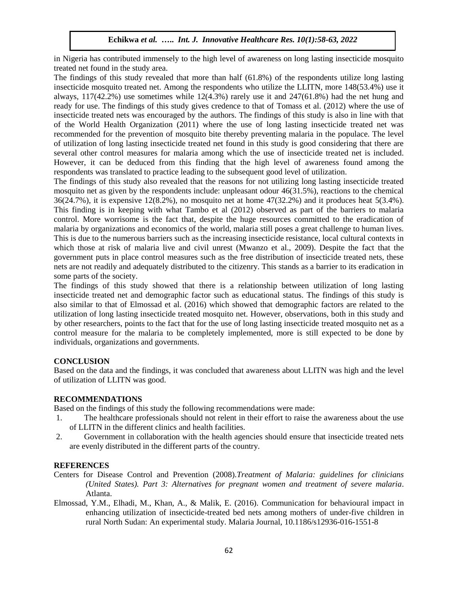in Nigeria has contributed immensely to the high level of awareness on long lasting insecticide mosquito treated net found in the study area.

The findings of this study revealed that more than half (61.8%) of the respondents utilize long lasting insecticide mosquito treated net. Among the respondents who utilize the LLITN, more 148(53.4%) use it always,  $117(42.2\%)$  use sometimes while  $12(4.3\%)$  rarely use it and  $247(61.8\%)$  had the net hung and ready for use. The findings of this study gives credence to that of Tomass et al. (2012) where the use of insecticide treated nets was encouraged by the authors. The findings of this study is also in line with that of the World Health Organization (2011) where the use of long lasting insecticide treated net was recommended for the prevention of mosquito bite thereby preventing malaria in the populace. The level of utilization of long lasting insecticide treated net found in this study is good considering that there are several other control measures for malaria among which the use of insecticide treated net is included. However, it can be deduced from this finding that the high level of awareness found among the respondents was translated to practice leading to the subsequent good level of utilization.

The findings of this study also revealed that the reasons for not utilizing long lasting insecticide treated mosquito net as given by the respondents include: unpleasant odour 46(31.5%), reactions to the chemical 36(24.7%), it is expensive 12(8.2%), no mosquito net at home 47(32.2%) and it produces heat 5(3.4%). This finding is in keeping with what Tambo et al (2012) observed as part of the barriers to malaria control. More worrisome is the fact that, despite the huge resources committed to the eradication of malaria by organizations and economics of the world, malaria still poses a great challenge to human lives. This is due to the numerous barriers such as the increasing insecticide resistance, local cultural contexts in which those at risk of malaria live and civil unrest (Mwanzo et al., 2009). Despite the fact that the government puts in place control measures such as the free distribution of insecticide treated nets, these nets are not readily and adequately distributed to the citizenry. This stands as a barrier to its eradication in some parts of the society.

The findings of this study showed that there is a relationship between utilization of long lasting insecticide treated net and demographic factor such as educational status. The findings of this study is also similar to that of Elmossad et al. (2016) which showed that demographic factors are related to the utilization of long lasting insecticide treated mosquito net. However, observations, both in this study and by other researchers, points to the fact that for the use of long lasting insecticide treated mosquito net as a control measure for the malaria to be completely implemented, more is still expected to be done by individuals, organizations and governments.

# **CONCLUSION**

Based on the data and the findings, it was concluded that awareness about LLITN was high and the level of utilization of LLITN was good.

## **RECOMMENDATIONS**

Based on the findings of this study the following recommendations were made:

- 1. The healthcare professionals should not relent in their effort to raise the awareness about the use of LLITN in the different clinics and health facilities.
- 2. Government in collaboration with the health agencies should ensure that insecticide treated nets are evenly distributed in the different parts of the country.

## **REFERENCES**

- Centers for Disease Control and Prevention (2008).*Treatment of Malaria: guidelines for clinicians (United States). Part 3: Alternatives for pregnant women and treatment of severe malaria*. Atlanta.
- Elmossad, Y.M., Elhadi, M., Khan, A., & Malik, E. (2016). Communication for behavioural impact in enhancing utilization of insecticide-treated bed nets among mothers of under-five children in rural North Sudan: An experimental study. Malaria Journal, [10.1186/s12936-016-1551-8](https://malariajournal.biomedcentral.com/articles/10.1186/s12936-016-1551-8)